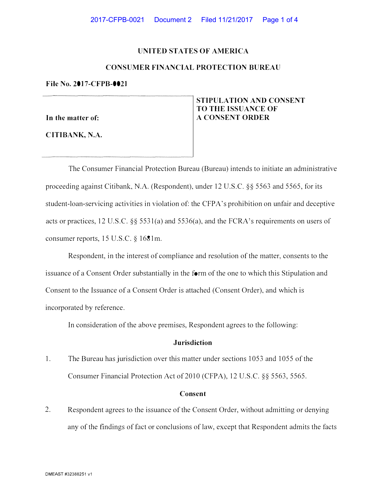# **UNITED STATES OF AMERICA**

# **CONSUMER FINANCIAL PROTECTION BUREAU**

### **File No. 2017-CFPB-0021**

**In the matter of:** 

**CITIBANK, N.A.** 

# **STIPULATION AND CONSENT TO THE ISSUANCE OF A CONSENT ORDER**

The Consumer Financial Protection Bureau (Bureau) intends to initiate an administrative proceeding against Citibank, N.A. (Respondent), under 12 U.S.C. §§ 5563 and 5565, for its student-loan-servicing activities in violation of: the CFPA's prohibition on unfair and deceptive acts or practices, 12 U.S.C. §§ 5531 (a) and 5536(a), and the FCRA 's requirements on users of consumer reports, 15 U.S.C. § 1681m.

Respondent, in the interest of compliance and resolution of the matter, consents to the issuance of a Consent Order substantially in the form of the one to which this Stipulation and Consent to the Issuance of a Consent Order is attached (Consent Order), and which is incorporated by reference.

In consideration of the above premises, Respondent agrees to the following:

# **Jurisdiction**

1. The Bureau has jurisdiction over this matter under sections 1053 and 1055 of the Consumer Financial Protection Act of 2010 (CFPA), 12 U.S.C. §§ 5563, 5565.

#### **Consent**

2. Respondent agrees to the issuance of the Consent Order, without admitting or denying any of the findings of fact or conclusions of law, except that Respondent admits the facts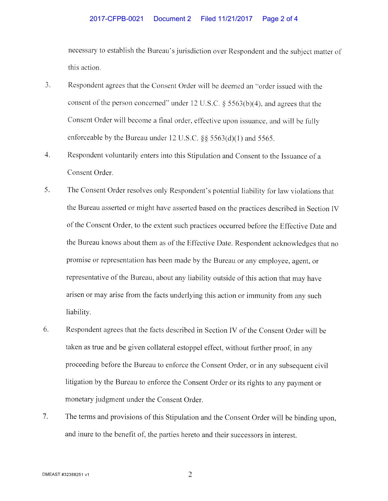### 2017-CFPB-0021 Document 2 Filed 11/21/2017 Page 2 of 4

necessary to establish the Bureau's jurisdiction over Respondent and the subject matter of this action.

- 3. Respondent agrees that the Consent Order will be deemed an "order issued with the consent of the person concerned" under 12 U.S.C.  $\S$  5563(b)(4), and agrees that the Consent Order will become a final order, effective upon issuance, and will be fully enforceable by the Bureau under 12 U.S.C. §§ 5563(d)(1) and 5565.
- 4. Respondent voluntarily enters into this Stipulation and Consent to the Issuance of <sup>a</sup> Consent Order.
- 5. The Consent Order resolves only Respondent's potential liability for law violations that the Bureau asserted or might have asserted based on the practices described in Section IV of the Consent Order, to the extent such practices occurred before the Effective Date and the Bureau knows about them as of the Effective Date. Respondent acknowledges that no promise or representation has been made by the Bureau or any employee, agent, or representative of the Bureau, about any liability outside of this action that may have arisen or may arise from the facts underlying this action or immunity from any such liability.
- 6. Respondent agrees that the facts described in Section IV of the Consent Order will be taken as true and be given collateral estoppel effect, without further proof, in any proceeding before the Bureau to enforce the Consent Order, or in any subsequent civil litigation by the Bureau to enforce the Consent Order or its rights to any payment or monetary judgment under the Consent Order.
- 7. The terms and provisions of this Stipulation and the Consent Order will be binding upon, and inure to the benefit of, the parties hereto and their successors in interest.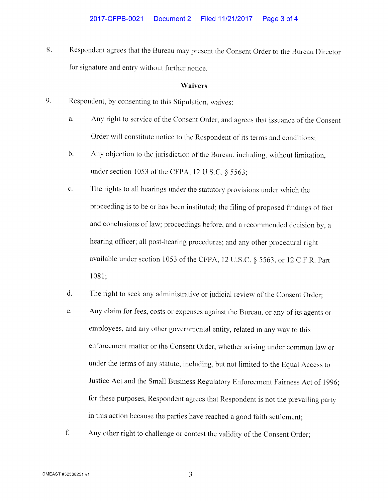8. Respondent agrees that the Bureau may present the Consent Order to the Bureau Director for signature and entry without further notice.

#### **Waivers**

- 9. Respondent, by consenting to this Stipulation, waives:
	- a. Any right to service of the Consent Order, and agrees that issuance of the Consent Order will constitute notice to the Respondent of its terms and conditions;
	- b. Any objection to the jurisdiction of the Bureau, including, without limitation, under section 1053 of the CFPA, 12 U.S.C. § 5563;
	- c. The rights to all hearings under the statutory provisions under which the proceeding is to be or has been instituted; the filing of proposed findings of fact and conclusions of law; proceedings before, and a recommended decision by, a hearing officer; all post-hearing procedures; and any other procedural right available under section 1053 of the CFPA, 12 U.S.C. § 5563, or 12 C.F.R. Part 1081;
	- d. The right to seek any administrative or judicial review of the Consent Order;
	- e. Any claim for fees, costs or expenses against the Bureau, or any of its agents or employees, and any other governmental entity, related in any way to this enforcement matter or the Consent Order, whether arising under common law or under the terms of any statute, including, but not limited to the Equal Access to Justice Act and the Small Business Regulatory Enforcement Fairness Act of 1996; for these purposes, Respondent agrees that Respondent is not the prevailing party in this action because the parties have reached a good faith settlement;
	- f. Any other right to challenge or contest the validity of the Consent Order;